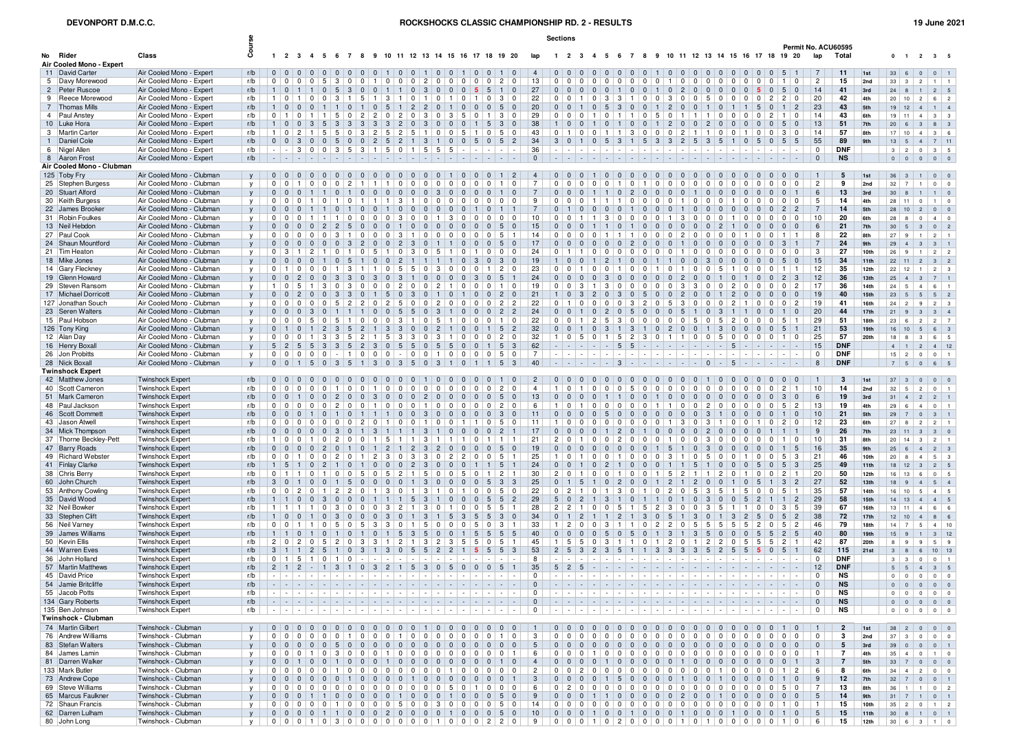## **DEVONPORT D.M.C.C.**

ROCKSHOCKS CLASSIC CHAMPIONSHIP RD. 2 - RESULTS **19 June 2021** 19 June 2021

|                                           |                                                        |              |                |                                           |                                                             |                                |                                                     |                                                                                       |                                                               |                                                    |                                                          |                                                     |                                |                                                                |                                                                                   |                                                                                                                                                                                                                                |                                                 |                | <b>Sections</b>                                                                                                                   |                                              |                |                                           |                                  |                                                       |                                  |                                                            |                                  |                                                                                                                     |                |                          |                                                                          |                             |                          |                                      |                  |                                                        |                                                       |                                                |
|-------------------------------------------|--------------------------------------------------------|--------------|----------------|-------------------------------------------|-------------------------------------------------------------|--------------------------------|-----------------------------------------------------|---------------------------------------------------------------------------------------|---------------------------------------------------------------|----------------------------------------------------|----------------------------------------------------------|-----------------------------------------------------|--------------------------------|----------------------------------------------------------------|-----------------------------------------------------------------------------------|--------------------------------------------------------------------------------------------------------------------------------------------------------------------------------------------------------------------------------|-------------------------------------------------|----------------|-----------------------------------------------------------------------------------------------------------------------------------|----------------------------------------------|----------------|-------------------------------------------|----------------------------------|-------------------------------------------------------|----------------------------------|------------------------------------------------------------|----------------------------------|---------------------------------------------------------------------------------------------------------------------|----------------|--------------------------|--------------------------------------------------------------------------|-----------------------------|--------------------------|--------------------------------------|------------------|--------------------------------------------------------|-------------------------------------------------------|------------------------------------------------|
|                                           |                                                        | යි           |                |                                           |                                                             |                                |                                                     |                                                                                       |                                                               |                                                    |                                                          |                                                     |                                |                                                                |                                                                                   |                                                                                                                                                                                                                                |                                                 |                |                                                                                                                                   |                                              |                |                                           |                                  |                                                       |                                  |                                                            |                                  |                                                                                                                     |                |                          |                                                                          |                             | Permit No. ACU60595      |                                      |                  |                                                        |                                                       |                                                |
| No Rider<br>Air Cooled Mono - Expert      | Class                                                  |              |                |                                           |                                                             |                                |                                                     |                                                                                       |                                                               |                                                    |                                                          |                                                     |                                |                                                                |                                                                                   | 1 2 3 4 5 6 7 8 9 10 11 12 13 14 15 16 17 18 19 20                                                                                                                                                                             | lap                                             |                | 1 2 3 4 5 6 7 8 9 10 11 12 13 14 15 16 17 18 19 20                                                                                |                                              |                |                                           |                                  |                                                       |                                  |                                                            |                                  |                                                                                                                     |                |                          |                                                                          | lap                         | Total                    |                                      |                  | $0 \quad 1 \quad 2 \quad 3 \quad 5$                    |                                                       |                                                |
| 11 David Carter                           | Air Cooled Mono - Expert                               | r/b          |                |                                           | 0 0 0 0 0 0 0 0                                             |                                |                                                     | $\overline{0}$                                                                        |                                                               | $0 \mid 1 \mid 0 \mid 0 \mid 1 \mid 0 \mid 0$      |                                                          |                                                     |                                |                                                                | $\overline{0}$                                                                    | $0110$                                                                                                                                                                                                                         | $\overline{4}$                                  |                | 0 0 0 0                                                                                                                           |                                              | $\Omega$       | $\Omega$<br>$\Omega$                      | $\Omega$                         | 100000000000                                          |                                  |                                                            |                                  |                                                                                                                     |                |                          | 5                                                                        | 7                           | 11                       | 1st                                  | $33 \mid 6$      |                                                        | 0                                                     | $0 \mid 1$                                     |
| 5 Davy Morewood                           | Air Cooled Mono - Expert                               | r/b          |                |                                           | 0   0   0   0   5                                           |                                | 3 <sup>1</sup><br>$\overline{0}$                    | $0 \mid 1$                                                                            |                                                               | $\mathbf 0$<br>0                                   | $0 \mid 2 \mid$                                          | $^{\circ}$                                          | $\overline{\mathbf{0}}$        | $\overline{0}$                                                 | 0<br>$\mathbf{0}$                                                                 | $\overline{c}$<br>$\mathbf 0$                                                                                                                                                                                                  | 13                                              |                | 0 0 0                                                                                                                             | $^{\circ}$                                   | $\mathbf 0$    | 0 <sup>1</sup><br>$\overline{\mathbf{0}}$ | $\overline{0}$                   | $0 \mid 1 \mid$                                       | $\overline{\phantom{0}}$         | $\mathbf 0$<br>$^{\circ}$                                  | $\mathbf 0$                      | $\mathbf 0$<br>$\mathbf 0$                                                                                          | $\mathbf 0$    | $\mathbf 0$              | $\mathbf 0$                                                              | $\overline{2}$              | 15                       | 2nd                                  | $33 \mid 3$      |                                                        | $2 \mid 1 \mid$                                       |                                                |
| 2 Peter Ruscoe                            | Air Cooled Mono - Expert                               | r/b          |                |                                           | 1   0   1   1   0   5                                       |                                | $\mathbf{3}$                                        | $\overline{0}$                                                                        |                                                               | $0 \mid 1 \mid 1 \mid 0 \mid 3 \mid 0 \mid 0$      |                                                          |                                                     |                                | $\overline{0}$                                                 | - 5<br>5                                                                          | $1\vert 0$                                                                                                                                                                                                                     | 27                                              |                | $0 0 0 0 0$                                                                                                                       |                                              | $\overline{0}$ | $\overline{1}$<br>$\Omega$                | $\overline{0}$                   | 10                                                    | 2                                | 0 <sub>0</sub>                                             | $\overline{0}$                   | $\overline{0}$<br>0                                                                                                 | -5             | $\Omega$                 | 5 <sup>1</sup><br>∣ 0                                                    | 14                          | 41                       | 3rd                                  | $24 \mid 8$      |                                                        | 1                                                     | $2 \mid 5$                                     |
| 9 Reece Morewood                          | Air Cooled Mono - Expert                               | r/b          |                | 1   0   1                                 |                                                             | 0 0                            | 3 <sup>1</sup><br>$\overline{1}$                    | 5 <sup>5</sup>                                                                        | $\overline{1}$                                                | 3<br>l 1                                           | $0 \mid 1$                                               | $^{\circ}$                                          | - 1                            | $\overline{0}$                                                 | $\Omega$                                                                          | 3<br>$^{\circ}$                                                                                                                                                                                                                | 22                                              |                | $0$   $0$   1                                                                                                                     | $\Omega$                                     | 3              | $3 \mid 1$                                | $^{\circ}$                       | 3<br>$^{\circ}$                                       | $^{\circ}$                       | $\mathbf 0$<br>5                                           | $\mathbf 0$                      | $\mathbf 0$<br>$\Omega$                                                                                             | $\Omega$       |                          | $\overline{2}$<br>0                                                      | 20                          | 42                       | 4th                                  |                  | 20   10                                                | $2 \mid 6 \mid$                                       | $\overline{2}$                                 |
| 7 Thomas Mills<br>4 Paul Anstey           | Air Cooled Mono - Expert<br>Air Cooled Mono - Expert   | r/b<br>r/b   | $^{\circ}$     | $\overline{1}$                            | $1 0 0 0$<br>$0 \mid 1 \mid 1 \mid 5 \mid$                  | 111                            | $\overline{0}$                                      | $\begin{array}{c c c c c c} \hline 0 & 1 & 0 \\ \hline \end{array}$<br>2 <sup>1</sup> | $\overline{2}$                                                | 5 1 2 2<br>$\overline{2}$<br>$\mathbf 0$           | $\mathbf 0$                                              | $\overline{0}$<br>3<br>$^{\circ}$                   | $\vert$ 1<br>$\mathbf{3}$      | $\overline{0}$<br>5                                            | $\overline{0}$<br>$\Omega$                                                        | $0 \mid 5 \mid 0$<br>3<br>$\Omega$                                                                                                                                                                                             | 20<br>29                                        |                | $0 \mid 0 \mid 1 \mid 0$<br>0 0                                                                                                   | $\Omega$<br>-1                               | 5<br>$\Omega$  | $\vert 3 \vert$<br>$\overline{0}$         | $\overline{0}$<br>$\Omega$       | 2 <br>$\vert$ 1<br>5<br>$^{\circ}$                    | $\overline{0}$<br>$\mathbf{1}$   | $\mathbf{1}$<br>1                                          | $\mathbf 0$<br>$\mathbf 0$       | $\mathbf 0$<br>$\Omega$                                                                                             | 5<br>$\Omega$  | $\overline{2}$           | $\vert$ 2                                                                | 23<br>14                    | 43<br>43                 | 5th<br>6th                           | 19               | $19$ 12 4 1<br> 11                                     | $-4$<br>3 <sup>1</sup>                                | $\overline{\mathbf{3}}$                        |
| 10 Luke Hora                              | Air Cooled Mono - Expert                               | r/b          |                |                                           | $1   0   0   3   5   3   3   3   3   3   2   0   3   0   0$ |                                |                                                     |                                                                                       |                                                               |                                                    |                                                          |                                                     |                                | $\overline{0}$                                                 | 5                                                                                 | 3<br>$\Omega$                                                                                                                                                                                                                  | 38                                              |                | $100$                                                                                                                             | $\blacksquare$ 1                             | $\Omega$       | $\mathbf{0}$                              | $\overline{0}$                   | 1 2 0 0 2 0                                           |                                  |                                                            |                                  | $\begin{array}{ c c } \hline \end{array}$<br>$\overline{0}$                                                         | $\overline{0}$ | $\overline{0}$           | 5                                                                        | 13                          | 51                       | 7th                                  | $20 \mid 6$      |                                                        | 3 <sup>1</sup><br>8 <sup>1</sup>                      | $\overline{\mathbf{3}}$                        |
| 3 Martin Carte                            | Air Cooled Mono - Expert                               | r/b          | 1 <sup>1</sup> |                                           | 0   2   1   5   5   0   3   2   5   2                       |                                |                                                     |                                                                                       |                                                               |                                                    | $5 \mid 1 \mid$                                          |                                                     | 0 <sup>0</sup>                 | 5                                                              | $\Omega$                                                                          | 5<br>$^{\circ}$                                                                                                                                                                                                                | 43                                              |                | $0110$                                                                                                                            | $^{\circ}$                                   |                | $1 \mid 3 \mid$                           | 0 <sup>1</sup>                   | 0 0 2 1 1                                             |                                  |                                                            | $\mathbf 0$                      | $0 \mid 1$                                                                                                          | $\Omega$       | $\Omega$                 | - 3<br>∣ 0                                                               | 14                          | 57                       | 8 <sub>th</sub>                      | 17               | 10                                                     | $4 \mid 3 \mid$                                       |                                                |
| 1 Daniel Cole                             | Air Cooled Mono - Expert                               | r/b          |                |                                           | $0 \mid 0 \mid 3 \mid 0 \mid 0 \mid 5$                      |                                | $\overline{0}$                                      | $\overline{0}$                                                                        | $2 \mid 5$                                                    | $\vert 2 \vert$                                    | $\overline{1}$                                           | -3<br>$\overline{1}$                                | $\overline{0}$                 | $\overline{0}$                                                 | 5                                                                                 | $0 \mid 5 \mid 2$                                                                                                                                                                                                              | 34                                              |                | $3 \mid 0 \mid 1 \mid 0$                                                                                                          |                                              | 5              | -3                                        |                                  | 5 3 3                                                 | 2 5 3 5                          |                                                            |                                  | $\vert$ 1<br>$\Omega$                                                                                               | 5              | $\overline{0}$           | 5                                                                        | 55                          | 89                       | 9 <sub>th</sub>                      | 13               | 5                                                      | $4$ 7 11                                              |                                                |
| 6 Nigel Allen                             | Air Cooled Mono - Expert                               | r/b          |                |                                           | 3000                                                        |                                | 5<br>3 <sup>1</sup>                                 | $3 \mid 1$                                                                            |                                                               | 5                                                  | $0 \mid 1 \mid$                                          | 5 <sup>1</sup><br>5 <sup>1</sup>                    | 5                              |                                                                |                                                                                   |                                                                                                                                                                                                                                | 36                                              |                |                                                                                                                                   |                                              |                |                                           |                                  | <b>1</b> - 1<br>$\sim$                                |                                  | $\sim$<br>$\sim$                                           | $\sim$                           | $\sim$<br>$\sim$                                                                                                    |                |                          |                                                                          | $\mathbf 0$                 | <b>DNF</b>               |                                      | 3 <sup>1</sup>   | $\overline{2}$                                         | $0 \mid 3 \mid 5$                                     |                                                |
| 8 Aaron Frost                             | Air Cooled Mono - Expert                               | r/b          |                | .                                         |                                                             |                                |                                                     |                                                                                       |                                                               |                                                    |                                                          |                                                     |                                |                                                                |                                                                                   |                                                                                                                                                                                                                                | $\mathbf{0}$                                    |                |                                                                                                                                   |                                              |                |                                           |                                  |                                                       |                                  |                                                            |                                  |                                                                                                                     |                |                          |                                                                          | $\mathbf{0}$                | <b>NS</b>                |                                      |                  | $0$ 0 0 0 0                                            |                                                       |                                                |
| Air Cooled Mono - Clubman<br>125 Toby Fry | Air Cooled Mono - Clubman                              |              |                |                                           | 0 0 0 0 0 0 0 0                                             |                                |                                                     | $\overline{0}$                                                                        | $\overline{0}$<br>$\overline{0}$                              |                                                    |                                                          |                                                     |                                | $\begin{array}{c c c c c c} \hline 0 & 0 & \hline \end{array}$ |                                                                                   | $0 \mid 1 \mid 2$                                                                                                                                                                                                              | $\overline{4}$                                  |                | 0 0 0                                                                                                                             |                                              | $\Omega$       | $\Omega$<br>$\mathbf{0}$                  |                                  | 0 0 0 0 0 0 0                                         |                                  |                                                            | $\overline{0}$                   |                                                                                                                     | 0 0 0 0 0 0    |                          |                                                                          | $\overline{1}$              | 5                        | 1st                                  | $36 \mid 3$      |                                                        | $1 \mid 0 \mid 0$                                     |                                                |
| 25 Stephen Burgess                        | Air Cooled Mono - Clubman                              | y<br>y       |                |                                           | $0 0 1 1 0 1$                                               | $\overline{\mathbf{0}}$        | 2 <sup>1</sup><br>$\overline{\phantom{0}}$          |                                                                                       | 11111                                                         |                                                    | 0   0   0                                                |                                                     | $0$   0                        | $\overline{\phantom{0}}$                                       | 0<br>$\Omega$                                                                     | $\mathbf{0}$                                                                                                                                                                                                                   | $\overline{7}$                                  |                | 0 0 0                                                                                                                             | $\Omega$                                     | $\overline{0}$ |                                           | $0 \mid 1 \mid$                  | $\overline{0}$<br>$\overline{0}$                      | $\mathbf 0$                      | $\overline{0}$<br>0                                        | $\mathbf 0$                      | $\mathbf{0}$<br>$\mathbf 0$                                                                                         | $\mathbf 0$    | $\mathbf 0$              | $\mathbf 0$                                                              | $\overline{2}$              | 9                        | 2nd                                  | $32 \mid 7$      |                                                        | $1 \vert 0 \vert$                                     | $\overline{0}$                                 |
| 20 Stuart Alford                          | Air Cooled Mono - Clubman                              | y            |                | 0 0 0                                     |                                                             | 1 <sup>1</sup>                 | $\overline{\mathbf{0}}$<br>$\overline{1}$           | $\mathbf{0}$                                                                          | $\mathbf{0}$<br>$\overline{0}$                                | $\mathbf{0}$                                       | $\mathbf{0}$                                             | $\mathbf{3}$<br>$\mathbf{0}$                        | $\overline{\mathbf{0}}$        | $\overline{\mathbf{0}}$                                        | - 0<br>$\Omega$                                                                   | $1 \vert 0$                                                                                                                                                                                                                    | $\overline{7}$                                  |                | 0 0 0                                                                                                                             |                                              | 111            | $\overline{2}$<br>$\mathbf{0}$            | $\mathbf{0}$                     | $\overline{0}$<br>$\overline{0}$                      | $\mathbf{0}$<br>$\blacksquare$   | $\mathbf{0}$                                               | $\mathbf{0}$                     | $\mathbf{0}$<br>$\mathbf{0}$                                                                                        |                | - 0                      | $\mathbf 0$                                                              | 6                           | 13                       | 3rd                                  | 30 <sub>o</sub>  | 8                                                      | $1 \mid 1 \mid$                                       | $\overline{0}$                                 |
| 30 Keith Burgess                          | Air Cooled Mono - Clubman                              | y            |                | $0$   0                                   | 0 <sup>1</sup> 1                                            | $0 \mid 1 \mid$                | $\overline{0}$                                      | $\overline{1}$                                                                        | $\overline{1}$                                                | $\overline{1}$                                     | $3 \mid 1 \mid$                                          | 0 0                                                 | 0                              | $\overline{0}$                                                 | 0<br>$^{\circ}$                                                                   | $^{\circ}$<br>$^{\circ}$                                                                                                                                                                                                       | 9                                               |                | $0$   $0$                                                                                                                         | $\overline{0}$<br>$\overline{1}$             | 1 <sup>1</sup> | $\overline{1}$<br>$\Omega$                | $\overline{0}$                   | $\overline{0}$<br>0                                   | $\overline{1}$                   | $\mathbf 0$<br>$^{\circ}$                                  | $\mathbf 0$                      | $\vert$ 1 $\vert$                                                                                                   | 0 0            | - 0                      | $\overline{0}$<br>∣ 0                                                    | 5                           | 14                       | 4th                                  | 28               | 11                                                     | $\circ$                                               | $1 \quad 0$                                    |
| 22 James Brooker                          | Air Cooled Mono - Clubman                              | y            |                | $0 \mid 0$                                |                                                             |                                |                                                     |                                                                                       | $\Omega$                                                      | $\mathbf{0}$                                       | $\mathbf{0}$                                             | $\overline{0}$<br>$\mathbf{0}$                      | $\overline{0}$                 | $\overline{0}$                                                 |                                                                                   |                                                                                                                                                                                                                                | $\overline{7}$                                  |                | $\overline{0}$                                                                                                                    |                                              |                |                                           |                                  | $\Omega$                                              |                                  | $\mathbf{0}$<br>$\mathbf{0}$                               | $\mathbf{0}$                     | $\mathbf{0}$<br>$\mathbf{0}$                                                                                        |                |                          |                                                                          | $\overline{7}$              | 14                       | 5th                                  | $28$ 10          |                                                        | $\overline{2}$                                        | 0                                              |
| 31 Robin Foulkes                          | Air Cooled Mono - Clubman                              | y            | $\mathbf 0$    | O                                         | $0 \mid 1 \mid 1 \mid 1$                                    |                                | $\overline{0}$                                      | $\overline{\phantom{0}}$                                                              | $\overline{0}$                                                | 0<br>3                                             | $\overline{0}$                                           | $\mathbf 0$<br>$\vert$ 1                            | $\mathbf{3}$                   | $\overline{0}$                                                 | - 0<br>0                                                                          | $\mathbf 0$<br>$\mathbf 0$                                                                                                                                                                                                     | 10                                              | $\overline{0}$ | O                                                                                                                                 | -1                                           | 3              | $\overline{\mathbf{0}}$<br>0 <sup>1</sup> | $^{\circ}$                       | $^{\circ}$<br>$\mathbf{1}$                            | $\mathbf{3}$                     | $\mathbf{0}$<br>$\mathbf 0$                                | 0                                | $\mathbf{1}$<br>0                                                                                                   | 0              | 0                        | 0                                                                        | 10                          | 20                       | 6th                                  | 28               | 8                                                      | 4<br>0                                                |                                                |
| 13 Neil Hebdon<br>27 Paul Cook            | Air Cooled Mono - Clubman<br>Air Cooled Mono - Clubman | y            | $\Omega$       |                                           | $0 \mid 0 \mid 0 \mid 0 \mid 2 \mid 2 \mid 5$<br>0   0   0  | $\overline{0}$                 | 3 <sup>1</sup>                                      | $\overline{\phantom{0}}$<br>$\overline{0}$                                            | $\begin{array}{c c} 0 & 0 \end{array}$<br>$^{\circ}$          | $^{\circ}$<br>3                                    | $\overline{1}$                                           | $^{\circ}$<br>$^{\circ}$                            | 1000000<br>$^{\circ}$          | $\overline{0}$                                                 | റ                                                                                 | $0 \mid 5 \mid$<br>$\overline{0}$                                                                                                                                                                                              | 15<br>14                                        |                | 0 0 0<br>0 <sup>0</sup>                                                                                                           | $\overline{1}$                               | $\overline{1}$ | $\Omega$                                  |                                  | $^{\circ}$<br>$\mathbf 0$                             | $\overline{0}$<br>$\overline{2}$ | $0 \mid 0$<br>$^{\circ}$<br>$^{\circ}$                     | $\overline{c}$<br>$\mathbf 0$    | $\overline{1}$<br>$\Omega$<br>$^{\circ}$                                                                            | $\overline{0}$ | $\overline{0}$           | $\Omega$<br>$\Omega$                                                     | 6<br>8                      | 21<br>22                 | 7th<br>8th                           | 30 <sub>o</sub>  | $5^{\circ}$                                            | 3 <sup>1</sup><br>1 <sup>1</sup>                      | $0 \mid 2$                                     |
| 24 Shaun Mountford                        | Air Cooled Mono - Clubman                              | V<br>y       |                |                                           | $0 0 0 0$                                                   | $\overline{0}$                 | 0 <br>$\vert 3 \vert$                               | $\sqrt{2}$                                                                            | $\overline{0}$<br>$\begin{array}{ c c } \hline 0 \end{array}$ | $\vert 2 \vert$                                    | $\vert 3 \vert$                                          | $\overline{0}$<br>$\overline{1}$                    | $\blacksquare$                 | $\mathbf{0}$                                                   | - 0<br>$\mathbf{0}$                                                               | 50                                                                                                                                                                                                                             | 17                                              |                | 0 0 0                                                                                                                             | $\overline{\mathbf{0}}$                      | $\overline{0}$ | $\overline{0}$<br>$\overline{2}$          | $\overline{0}$                   | $\overline{0}$                                        | $\overline{1}$                   | $\overline{0}$<br>$\overline{0}$                           | $\overline{0}$                   | $\mathbf{0}$                                                                                                        |                | $\mathbf{0}$             | -3                                                                       | $\overline{7}$              | 24                       | 9th                                  | 27<br>29         | 9<br>$\overline{4}$                                    | 2 <sup>1</sup><br>33                                  |                                                |
| 21 Tim Heaton                             | Air Cooled Mono - Clubman                              | y            | $^{\circ}$     | $3 \mid 1 \mid$                           | 2 <sup>1</sup>                                              | $\overline{1}$                 | $\overline{0}$<br>$\overline{1}$                    | $\overline{0}$                                                                        | 5                                                             | $\mathbf{1}$<br>$\mathbf 0$                        | 3 0                                                      |                                                     | $5 \mid 1 \mid 0$              | - 1                                                            | $\Omega$                                                                          | 0<br>$\mathbf{0}$                                                                                                                                                                                                              | 24                                              |                | $0 \mid 1 \mid 1$                                                                                                                 | $^{\circ}$                                   | $^{\circ}$     | $\Omega$<br>$\mathbf{0}$                  | $\overline{0}$                   | $^{\circ}$<br>$\overline{\phantom{0}}$                | $\blacksquare$                   | $\overline{0}$<br>$^{\circ}$                               | $^{\circ}$                       | $\mathbf{0}$<br>0                                                                                                   | $\Omega$       | - 0                      | $\Omega$<br>∣ 0                                                          | 3                           | 27                       | 10th                                 | $26 \mid 9$      |                                                        | $\blacksquare$                                        | $2 \mid 2$                                     |
| 18 Mike Jones                             | Air Cooled Mono - Clubman                              | y            |                |                                           | $0 0 0 0 0$                                                 | $1 \mid 0 \mid$                | 5                                                   | $\overline{1}$                                                                        | $\mathbf{0}$<br>$\overline{0}$                                | $\overline{2}$                                     | $\overline{1}$                                           |                                                     |                                | $\overline{\mathbf{0}}$                                        | -3<br>$\Omega$                                                                    | $3 \mid 0$                                                                                                                                                                                                                     | 19                                              |                | $1 \mid 0$                                                                                                                        | $\Omega$                                     |                |                                           | $\Omega$                         | $\overline{1}$<br>$\overline{1}$                      | $\mathbf{0}$                     | $\overline{0}$<br>$\vert 3 \vert$                          | $\overline{0}$                   | $\Omega$<br>$\Omega$                                                                                                |                |                          |                                                                          | 15                          | 34                       | 11th                                 |                  | $22$ 11                                                | $\overline{2}$                                        | $3 \mid 2$                                     |
| 14 Gary Fleckney                          | Air Cooled Mono - Clubman                              | $\mathbf{v}$ | $\Omega$       | l 1 l                                     | $0$   0                                                     | $0 \mid 1 \mid$                | 3                                                   | $1 \mid 1$                                                                            |                                                               | $\mathbf 0$<br>5                                   | $5 \mid 0$                                               | $\vert$ 3                                           | 0                              | $\overline{\mathbf{0}}$                                        | - 0                                                                               | $\overline{c}$<br>$\Omega$                                                                                                                                                                                                     | 23                                              | $\Omega$       | ി റ                                                                                                                               | $\Omega$                                     | $\Omega$       | $\mathbf 0$                               | $\mathbf 0$                      | - 1                                                   | $0 \mid 1$                       | $\overline{0}$<br>0                                        | 5                                | $\mathbf 0$<br>-1                                                                                                   | 0              | 0                        |                                                                          | 12                          | 35                       | 12 <sub>th</sub>                     | 22   12          |                                                        | $1 \mid 2 \mid$                                       | 3                                              |
| 19 Glenn Howard                           | Air Cooled Mono - Clubman                              | y            |                |                                           | 0   0   2   0   0   3   3                                   |                                |                                                     |                                                                                       | $0 \mid 3 \mid 0$                                             | $\mathbf{3}$                                       | $\overline{1}$                                           | $\overline{0}$<br>$\overline{0}$                    | $\overline{0}$                 | $\overline{0}$                                                 | 3                                                                                 | $0 \mid 5$<br>$\overline{1}$                                                                                                                                                                                                   | 24                                              |                | 0 0 0                                                                                                                             | $\overline{0}$                               | 3              | $\Omega$<br>$\Omega$                      | $\mathbf{0}$                     | 0 0 2 0 0                                             |                                  |                                                            | $\blacksquare$ 1                 | $\overline{0}$                                                                                                      | 0              | $\overline{0}$           | 2 <sup>1</sup><br>3                                                      | 12                          | 36                       | 13 <sub>th</sub>                     | $25 \mid 4$      |                                                        | 3 <sup>3</sup><br> 7                                  |                                                |
| 29 Steven Ransom<br>17 Michael Dorricott  | Air Cooled Mono - Clubman                              | y            | $\overline{1}$ | $\overline{0}$                            | $5 \mid 1 \mid$                                             | 3                              | $\overline{0}$<br>$\mathbf{3}$                      | $\mathbf 0$                                                                           | $\mathbf 0$                                                   | $\overline{2}$<br>$\mathbf 0$                      | $\circ$                                                  | $\overline{0}$<br>$\overline{c}$<br>$\Omega$        |                                | $^{\circ}$                                                     |                                                                                   | $\Omega$                                                                                                                                                                                                                       | 19                                              |                | 0 <sub>0</sub>                                                                                                                    |                                              | $\Omega$       |                                           | $\Omega$                         | $^{\circ}$<br>$\mathbf 0$                             | $\mathbf{3}$                     | 3<br>$\mathbf 0$                                           | $\mathbf 0$<br>$\overline{1}$    | $\overline{2}$<br>$\Omega$                                                                                          |                |                          | -2                                                                       | 17                          | 36<br>40                 | 14th                                 | $24 \mid 5$      |                                                        | 4                                                     | 6                                              |
| 127 Jonathan Souch                        | Air Cooled Mono - Clubman<br>Air Cooled Mono - Clubman | V<br>y       | $\mathbf 0$    | $0 \mid 0$<br>$\mathbf 0$                 | $\overline{2}$<br>$0$   0                                   | $\mathbf{0}$<br>$\overline{0}$ | $\mathbf{3}$<br>$\mathbf{3}$<br>$\overline{2}$<br>5 | $\mathbf{0}$<br>2 <sup>1</sup>                                                        | $\overline{0}$                                                | 5<br>$\mathbf{0}$<br>$\overline{c}$<br>5           | $\mathbf{3}$<br>$\mathbf 0$                              | 2 <sup>1</sup><br> 0                                | - 0<br><b>0</b>                | $\overline{\mathbf{0}}$                                        | 0<br>$\mathbf 0$                                                                  | $\overline{2}$<br>$\overline{\mathbf{0}}$<br>$\overline{c}$<br>$\overline{c}$                                                                                                                                                  | 21<br>22                                        |                | $1 \vert 0$<br>$0 \mid 1$                                                                                                         | -3<br>$\overline{c}$<br>$\Omega$<br>$\Omega$ | $\Omega$       | -3<br>$\Omega$<br>$\mathbf{3}$            | - 5<br>$\overline{2}$            | $\overline{0}$<br>$\overline{0}$<br>5<br>$\mathbf{0}$ | $\overline{2}$<br>$\mathbf{3}$   | $\mathbf{0}$<br>$\mathbf{0}$<br>$\mathbf 0$<br>$\mathbf 0$ | $\mathbf 0$                      | $\overline{2}$<br>$\overline{2}$<br>$\overline{1}$                                                                  | $\mathbf 0$    | $\mathbf{0}$<br>$\Omega$ | $\overline{\mathbf{0}}$<br>$\mathbf 0$<br>$\mathbf{0}$<br>$\overline{2}$ | 19<br>19                    | 41                       | 15th<br>16th                         | 23<br>$24$ 2     | $5\overline{5}$                                        | $5\phantom{.0}$<br>9 <sup>1</sup>                     | 5 <sup>1</sup><br>2<br>$\overline{\mathbf{3}}$ |
| 23 Seren Walters                          | Air Cooled Mono - Clubman                              | $\mathbf{v}$ |                | $0 \mid 0$                                | $\Omega$                                                    |                                |                                                     |                                                                                       | $\mathbf{0}$                                                  | $\overline{0}$<br>5                                | 5                                                        | $\mathbf{0}$<br>$\mathbf{3}$                        |                                |                                                                |                                                                                   | $\overline{2}$<br>$\overline{2}$                                                                                                                                                                                               | 24                                              | $\Omega$       |                                                                                                                                   | $\Omega$                                     |                |                                           | $\Omega$                         | $\Omega$<br>$\Omega$                                  | $\overline{5}$                   | $\mathbf{0}$                                               | 3                                |                                                                                                                     |                |                          | $\overline{0}$                                                           | 20                          | 44                       | 17th                                 | 21               | 9<br>$\overline{3}$                                    |                                                       | $3 \mid 4$                                     |
| 15 Paul Hobson                            | Air Cooled Mono - Clubman                              | y            | $^{\circ}$     |                                           |                                                             | $\mathbf 0$                    | $5 \mid 1 \mid$                                     | $\begin{array}{c c} 0 & 0 \\ \end{array}$                                             |                                                               | $^{\circ}$<br>3                                    | 1 <sup>1</sup>                                           | $\mathbf{0}$<br>5 <sup>1</sup>                      |                                | $\mathbf 0$                                                    | - 0                                                                               | $\mathbf 0$                                                                                                                                                                                                                    | 22                                              |                | 0 <sub>0</sub>                                                                                                                    | $\overline{2}$                               | 5              | 3<br>0                                    | $\mathbf 0$                      | $\mathbf 0$<br>$\mathbf 0$                            | $\mathbf{0}$                     | $5 \mid 0$                                                 | 5                                | $\overline{2}$                                                                                                      |                |                          | 5                                                                        | 29                          | 51                       | 18th                                 | $23 \mid 6$      |                                                        | $2 \mid 2 \mid$                                       |                                                |
| 126 Tony King                             | Air Cooled Mono - Clubman                              | y            |                | $0 \mid 1 \mid$                           | $0 \mid 1$                                                  | $\overline{2}$                 | $\mathbf{3}$<br>5                                   | $\overline{2}$                                                                        |                                                               | $\mathbf{3}$<br>$\mathbf{3}$                       | $\mathbf{0}$                                             | $\overline{0}$<br>$\overline{2}$                    | $\overline{1}$                 | $\overline{0}$                                                 | - 0                                                                               | $\overline{2}$<br>5                                                                                                                                                                                                            | 32                                              |                | $0 \mid 0$                                                                                                                        | $\mathbf{0}$                                 | 3              | -3                                        |                                  | $\sqrt{2}$<br>$\overline{0}$                          | $\overline{0}$                   | $0 \mid 1$                                                 | 3                                | $\overline{0}$<br>$\Omega$                                                                                          | - 0            | $\Omega$                 | -5                                                                       | 21                          | 53                       | 19th                                 | $16$ 10          |                                                        | 5 <sup>5</sup>                                        | $6 \mid$<br>$\mathbf{3}$                       |
| 12 Alan Day                               | Air Cooled Mono - Clubman                              | <b>V</b>     | $\mathbf 0$    | $\overline{0}$                            | 0 <sup>1</sup>                                              | 3                              | 3 <sup>1</sup><br>$5\overline{5}$                   | 2 <sup>1</sup>                                                                        | $\overline{1}$                                                | $\mathbf{3}$<br>5                                  | $3 \mid 0$                                               | 3                                                   | l 1                            | $\overline{0}$                                                 | $\Omega$<br>$\Omega$                                                              | 2<br>$\Omega$                                                                                                                                                                                                                  | 32                                              |                | $1 \vert 0$                                                                                                                       | 5<br>$\Omega$                                |                | 2 <sup>1</sup><br>5 <sup>1</sup>          | 3 <sup>1</sup>                   | $\mathbf{0}$<br>$\mathbf{1}$                          | $\mathbf{1}$                     | $0 \mid 0$                                                 | 5                                | $\begin{array}{c c} 0 & 0 \end{array}$                                                                              | $^{\circ}$     |                          | - 0                                                                      | 25                          | 57                       | 20th                                 | $18 \mid 8$      |                                                        | $3 \mid 6$                                            | 5                                              |
| 16 Henry Boxall                           | Air Cooled Mono - Clubman                              | V            |                |                                           | $5 \ 2 \ 5 \ 5$                                             | $\mathbf{3}$                   |                                                     | 3 5 2 3 0                                                                             |                                                               |                                                    | 550                                                      |                                                     | $5 \mid 5 \mid$                | $\overline{0}$                                                 | - 0                                                                               | $\mathbf{3}$<br>5                                                                                                                                                                                                              | 62                                              |                |                                                                                                                                   |                                              |                | $5 \mid 5$                                |                                  |                                                       |                                  | - 1<br>$\sim$ 1                                            | $\sim$                           | 5                                                                                                                   |                |                          |                                                                          | 15                          | <b>DNF</b>               |                                      |                  | $4$ 1 2 4 12                                           |                                                       |                                                |
| 26 Jon Probitts<br>28 Nick Boxall         | Air Cooled Mono - Clubman<br>Air Cooled Mono - Clubman | y<br>y       | $\mathbf 0$    | $\mathbf 0$                               | 0 0 0<br>$0 \mid 0 \mid 1 \mid 5 \mid 0 \mid 3 \mid 5$      |                                | $\overline{1}$                                      | $\mathbf 0$<br>$\overline{1}$                                                         | $\mathbf{0}$<br>$3 \mid 0$                                    | $^{\circ}$<br>$\overline{\phantom{a}}$             | $\mathbf 0$<br>350                                       | $\mathbf 0$<br>$\vert$ 1<br>$\mathbf{3}$            | 0<br>$\overline{1}$            | $\overline{\mathbf{0}}$<br>$\overline{0}$                      | $\mathbf 0$<br>$\mathbf 0$                                                        | 5<br>$\mathbf 0$<br>5 <sup>1</sup><br>  3                                                                                                                                                                                      | $\overline{7}$<br>40                            |                |                                                                                                                                   |                                              |                | $\mathbf{3}$                              | $-1 - 1 - 1$                     | <b>Contract</b>                                       | - 1                              | $\sim$<br>$\sim$<br>$\mathbf{0}$                           | $\sim$                           | $\sim$ .<br>5                                                                                                       | $\sim$         |                          |                                                                          | $\mathbf 0$<br>8            | <b>DNF</b><br><b>DNF</b> |                                      | $15 \mid 2$      | $7 \mid 5 \mid 0 \mid 6 \mid 5$                        | $0$ 0                                                 | $\overline{1}$                                 |
| <b>Twinshock Expert</b>                   |                                                        |              |                |                                           |                                                             |                                |                                                     |                                                                                       |                                                               |                                                    |                                                          |                                                     |                                |                                                                |                                                                                   |                                                                                                                                                                                                                                |                                                 |                |                                                                                                                                   |                                              |                |                                           |                                  |                                                       |                                  |                                                            |                                  |                                                                                                                     |                |                          |                                                                          |                             |                          |                                      |                  |                                                        |                                                       |                                                |
| 42 Matthew Jones                          | <b>Twinshock Expert</b>                                | r/b          |                |                                           | 0 0 0 0 0 0 0 0 0 0 0                                       |                                |                                                     |                                                                                       |                                                               |                                                    |                                                          |                                                     |                                |                                                                |                                                                                   | 00100000010                                                                                                                                                                                                                    | $\overline{2}$                                  |                | $0 0 0 0 0$                                                                                                                       |                                              | $\overline{0}$ | 0   0   0   0   0   0   0   1   0         |                                  |                                                       |                                  |                                                            |                                  |                                                                                                                     | 0 0 0 0 0 0    |                          |                                                                          | $\overline{1}$              | 3                        | 1st                                  | $37 \mid 3 \mid$ |                                                        | 0 0 0                                                 |                                                |
| 40 Scott Cameron                          | <b>Twinshock Expert</b>                                | r/b          |                | 0 0 0 0                                   | $\Omega$                                                    | $^{\circ}$                     | $\overline{0}$<br>$\overline{1}$                    | $\overline{0}$                                                                        | $\overline{1}$                                                | $\mathbf{0}$<br>$\mathbf 0$                        | $0$   $0$                                                | $\overline{0}$                                      | $\overline{0}$                 | $\overline{0}$                                                 | $\Omega$<br>$\Omega$                                                              | $\overline{2}$<br>$^{\circ}$                                                                                                                                                                                                   | $\overline{4}$                                  |                | $1$   0   1                                                                                                                       | $\Omega$                                     | $\Omega$       | 5<br>$\Omega$                             | $\Omega$                         | $^{\circ}$<br>$\overline{0}$                          | $\mathbf{0}$                     | $\overline{0}$<br>0                                        | $\mathbf{0}$                     | $\mathbf 0$<br>$\Omega$                                                                                             | $\Omega$       | $\Omega$                 | $\overline{2}$                                                           | 10                          | 14                       | 2nd                                  | 32               | 5                                                      | 2 <sup>1</sup>                                        | 0<br>$\overline{1}$                            |
| 51 Mark Cameron                           | <b>Twinshock Expert</b>                                | r/b          |                |                                           | 0   0   1   0   0                                           |                                | 2 <br>$\overline{0}$                                | $\overline{0}$                                                                        | $\mathbf{3}$                                                  | $\overline{0}$                                     |                                                          | $0 \mid 0 \mid 2 \mid 0 \mid 0$                     |                                | $\overline{0}$                                                 | $\overline{0}$<br>$\overline{0}$                                                  | 5<br>$\overline{0}$                                                                                                                                                                                                            | 13                                              |                | 0 0 0                                                                                                                             | $\overline{0}$                               |                | $\mathbf{0}$                              |                                  | $0 \mid 1 \mid 0$                                     | 0                                | 0 <sub>0</sub>                                             | $\overline{0}$                   | $\overline{0}$                                                                                                      |                | $\overline{\mathbf{0}}$  | - 3                                                                      | 6                           | 19                       | 3rd                                  | 31               | $\overline{4}$                                         | $2 \mid 2 \mid 1$                                     |                                                |
| 48 Paul Jackson                           | <b>Twinshock Expert</b>                                | r/b          | $\mathbf 0$    | $\mathbf 0$                               | 0 0 0                                                       |                                | 2 <sup>1</sup><br>$\mathbf 0$                       | $^{\circ}$                                                                            | -1                                                            | $\mathbf 0$<br>0                                   | $\mathbf 0$                                              | $\overline{1}$<br>$\mathbf 0$                       | $\mathbf 0$                    | $\mathbf 0$                                                    | - 0<br>$\Omega$                                                                   | 2<br>$\mathbf 0$                                                                                                                                                                                                               | 6                                               |                | $1 \mid 0$                                                                                                                        | $\Omega$                                     | $\Omega$       | $\Omega$<br>$\Omega$                      | $^{\circ}$                       | $\overline{1}$<br>$\blacksquare$                      | $\mathbf 0$                      | $\mathbf 0$<br>$\overline{2}$                              | $\mathbf 0$                      | $\mathbf 0$<br>$\mathbf 0$                                                                                          |                |                          | - 5<br>$\overline{c}$                                                    | 13                          | 19                       | 4th                                  | 29               | 6                                                      | 4                                                     | 0                                              |
| 46 Scott Dommet<br>43 Jason Atwell        | <b>Twinshock Expert</b><br><b>Twinshock Expert</b>     | r/b<br>r/b   | $\mathbf{0}$   | $0 \mid 0$<br>$\Omega$                    | $\Omega$                                                    | $\Omega$                       | $\Omega$<br>$\mathbf 0$                             | $\overline{2}$                                                                        | $1 \mid 1$<br>$\mathbf 0$                                     | $\mathbf 0$                                        | $\begin{array}{ c c } \hline \end{array}$<br>$\mathbf 0$ | $3 \mid 0$                                          | $\overline{0}$                 | $\Omega$                                                       | $\Omega$<br>$\Omega$                                                              | $3 \mid 0$<br>-5                                                                                                                                                                                                               | 11<br>11                                        |                | $0 \mid 0 \mid 0$                                                                                                                 | $\overline{0}$                               | 5              | $\Omega$<br>$\Omega$                      | $\Omega$                         | $\overline{0}$<br>$\overline{0}$<br>$^{\circ}$        | $\overline{0}$<br>3              | $\overline{0}$<br>3<br>$\mathbf 0$<br>3                    | $\blacksquare$ 1                 | $\overline{0}$<br>n                                                                                                 | - 0            | - 0                      | $\overline{0}$                                                           | 10<br>12                    | 21<br>23                 | 5th<br>6th                           | 29<br>27         | 7<br>8                                                 | 3<br>$\mathbf{0}$<br>$\overline{2}$<br>2 <sup>1</sup> |                                                |
| 34 Mick Thompson                          | <b>Twinshock Expert</b>                                | r/b          |                | $0 \mid 0$                                | $\mathbf{0}$                                                | $\mathbf 0$                    | 3<br>$\mathbf 0$                                    |                                                                                       | $\mathbf{3}$                                                  | $\overline{1}$<br>$\overline{1}$                   | $\mathbf{1}$                                             | 3                                                   | $\overline{0}$                 | $\overline{0}$                                                 | $\mathbf{0}$                                                                      | $0 \mid 2$                                                                                                                                                                                                                     | 17                                              |                | $0$ 0                                                                                                                             | $\overline{0}$<br>$\mathbf{0}$               |                | $\overline{c}$                            |                                  | $\mathbf{0}$<br>$\mathbf{0}$                          | $\mathbf{0}$                     | $\mathbf{0}$<br>$\overline{2}$                             | $\mathbf{0}$                     | $\mathbf 0$                                                                                                         |                |                          |                                                                          | 9                           | 26                       | 7 <sup>th</sup>                      | 23               | 11                                                     | $\mathbf{3}$                                          | 3 <sup>1</sup>                                 |
| 37 Thorne Beckley-Pett                    | <b>Twinshock Expert</b>                                | r/b          |                | $1$ 0                                     | $0 \mid 1 \mid$                                             | $\Omega$                       | 2                                                   | $0$   0   1                                                                           |                                                               | 5   1   1                                          |                                                          |                                                     | $3 \mid 1 \mid 1 \mid 1$       |                                                                | 0                                                                                 | $\mathbf{1}$                                                                                                                                                                                                                   | 21                                              |                | $2 \mid 0 \mid 1$                                                                                                                 | $^{\circ}$                                   | $\Omega$       | 2 <sup>1</sup><br>$\Omega$                | $\Omega$                         | $\overline{\phantom{0}}$<br>$\vert$ 1                 |                                  | $0 \mid 0 \mid 3$                                          | $\mathbf 0$                      | $\begin{array}{c c c c c} \hline \multicolumn{3}{c }{\textbf{0} & \textbf{0} & \textbf{0} & \textbf{0} \end{array}$ |                | $\Omega$                 | 0                                                                        | 10                          | 31                       | 8th                                  | $20$ 14          |                                                        | 3                                                     | 2<br>$\overline{1}$                            |
| 47 Barry Roads                            | <b>Twinshock Expert</b>                                | r/b          |                | 0 0 0                                     |                                                             | $\overline{2}$                 | $\mathbf{0}$                                        | $\mathbf{0}$                                                                          |                                                               | $\overline{c}$<br>$\blacksquare$ 1                 | $\overline{2}$                                           | $\mathbf{3}$<br>$\overline{2}$                      | $\Omega$                       |                                                                |                                                                                   | -5<br>$\Omega$                                                                                                                                                                                                                 | 19                                              |                | 0 0                                                                                                                               | $\overline{0}$<br>$\mathbf{0}$               | $\mathbf{0}$   | $\Omega$                                  | $\Omega$                         | 5                                                     | $\overline{1}$                   | $0 \mid 3$                                                 | $\overline{0}$                   | $\overline{0}$                                                                                                      |                |                          |                                                                          | 16                          | 35                       | 9th                                  | 25               | 6                                                      | 4                                                     | $2 \mid 3$                                     |
| 49 Richard Webster                        | <b>Twinshock Expert</b>                                | r/b          | $\mathbf 0$    | 0 <sup>1</sup>                            | $^{\circ}$<br>1 <sup>1</sup>                                | $\mathbf 0$                    | $\overline{2}$<br>$\mathbf{0}$                      | $\mathbf{1}$                                                                          | $\overline{c}$                                                | 3<br>$\mathbf 0$                                   | 3                                                        | 3<br>$\mathbf 0$                                    | $\overline{c}$                 | $\overline{c}$                                                 | 0                                                                                 | 5<br>$\mathbf{1}$                                                                                                                                                                                                              | 25                                              |                | $1 \mid 0$                                                                                                                        | $^{\circ}$                                   | $\mathbf 0$    | 0                                         | 0                                | $^{\circ}$<br>-3                                      | -1                               | $\mathbf 0$<br>5                                           | $\mathbf 0$                      | $\mathbf 0$                                                                                                         |                | 0                        | 5<br>- 3                                                                 | 21                          | 46                       | 10th                                 | 20               | 8                                                      | $4 \mid 5 \mid$                                       |                                                |
| 41 Finlay Clarke                          | <b>Twinshock Expert</b>                                | r/b          |                | $1 \vert 5$                               | $\Omega$                                                    | $\overline{2}$                 | $\overline{1}$<br>$\Omega$                          |                                                                                       | $\mathbf{0}$<br>0                                             | $\overline{0}$                                     | $\overline{2}$                                           | $\mathbf{3}$<br>$\overline{0}$                      | $\overline{0}$                 | $\overline{0}$                                                 |                                                                                   | 5<br>$\overline{1}$                                                                                                                                                                                                            | 24                                              |                | $00110$                                                                                                                           |                                              | $\overline{c}$ | $\Omega$                                  | $\Omega$                         | $\overline{0}$<br>$\overline{1}$                      | $\blacksquare$ 1                 | $5 \mid 1$                                                 | $\overline{0}$                   | $\overline{0}$<br>$\Omega$                                                                                          | $-5$           | $\Omega$                 | 5<br>3                                                                   | 25                          | 49                       | 11th                                 | $18$ 12          |                                                        | $\mathbf{3}$                                          | $2 \mid 5$                                     |
| 38 Chris Berry<br>60 John Church          | <b>Twinshock Expert</b><br><b>Twinshock Expert</b>     | r/b<br>r/b   |                | $0 \mid 1 \mid$<br>$3 \mid 0 \mid 1 \mid$ | $\overline{0}$                                              | $\overline{0}$                 | $\mathbf 0$<br>5<br>$\vert$ 1                       | 5<br>$\overline{0}$                                                                   | $\mathbf 0$<br>$\overline{0}$<br>$\overline{0}$               | 5<br>$\overline{c}$<br>$\overline{0}$              | $\overline{1}$<br>$\vert$ 1 $\vert$                      | 5<br>$\mathbf 0$<br>$\mathbf{3}$                    | - 0                            | -5                                                             | $\mathbf{0}$                                                                      | $\overline{2}$                                                                                                                                                                                                                 | 30<br>25                                        |                | $2 \mid 0$<br>$0 \mid 1 \mid 5$                                                                                                   | $\blacksquare$ 1                             | $\mathbf{0}$   | 2 <sup>2</sup><br>$\mathbf{0}$            | $\Omega$                         | 5<br>$\overline{1}$<br>$\sqrt{2}$<br>$\vert$ 1        | $\overline{2}$<br>$\overline{1}$ | $\overline{1}$<br>-1<br>$2 \mid 0$                         | $\overline{c}$<br>$\mathbf{0}$   | $\mathbf 0$<br>$\overline{1}$<br>0                                                                                  | 5              |                          | $\overline{c}$                                                           | 20<br>27                    | 50<br>52                 | 12 <sub>th</sub><br>13 <sub>th</sub> | $16$   13        |                                                        | 6                                                     | 0                                              |
| 53 Anthony Cowling                        | <b>Twinshock Expert</b>                                | r/b          |                | $0$   0                                   | 2 <sup>1</sup>                                              | $0 \mid 1 \mid$                | 2 <sup>1</sup><br>$\overline{2}$                    | $\overline{0}$                                                                        | $\overline{1}$                                                | 3<br>$^{\circ}$                                    | $\overline{1}$                                           | $\overline{0}$<br>3<br>$\overline{1}$               | $\overline{0}$<br>$^{\circ}$   | $\overline{\mathbf{0}}$                                        | 5<br>- 0<br>$\Omega$                                                              | 3<br>$\mathbf{3}$<br>5<br>$\Omega$                                                                                                                                                                                             | 22                                              |                | 0 <sup>2</sup>                                                                                                                    | $\overline{1}$<br>$\Omega$                   |                | $\mathcal{R}$<br>$\Omega$                 | $\overline{0}$<br>$\blacksquare$ | $^{\circ}$<br>$\overline{2}$                          | $^{\circ}$                       | 5<br>3                                                     | 5                                | $\mathbf{1}$<br>5                                                                                                   | $\Omega$       | $\Omega$                 | 3<br>-5                                                                  | 35                          | 57                       | 14th                                 | $16$ 10          | $18$ 9 4 5 4                                           | 5.                                                    | 4 <sup>1</sup><br>5                            |
| 35 David Wood                             | <b>Twinshock Expert</b>                                | r/b          |                | $1 \mid 1 \mid$                           | $\Omega$                                                    |                                | $\mathbf{0}$<br>$\overline{0}$                      | $\Omega$                                                                              |                                                               | 111                                                | 5                                                        | -3                                                  | $\Omega$                       |                                                                |                                                                                   | 5<br>$\overline{c}$                                                                                                                                                                                                            | 29                                              |                | $5 \mid 0$                                                                                                                        | $\overline{2}$                               |                |                                           |                                  | $\overline{1}$<br>$\overline{0}$                      | $\overline{1}$                   | $\mathbf{0}$<br>$\vert 3 \vert$                            | $\mathbf{0}$                     | $\mathbf{0}$                                                                                                        |                |                          | $\overline{2}$                                                           | 29                          | 58                       | 15 <sub>th</sub>                     |                  | $14$ 13                                                | $4 \mid 4 \mid 5$                                     |                                                |
| 32 Neil Bowker                            | Twinshock Expert                                       | r/b          |                | 1111                                      | 1 1                                                         | $\Omega$                       | - 3<br>$\mathbf{0}$                                 | $\Omega$                                                                              | $\mathbf 0$                                                   | 3<br>$\overline{c}$                                | $\overline{1}$                                           | 3<br>$\Omega$                                       |                                | $\mathbf 0$                                                    | 5                                                                                 | 5                                                                                                                                                                                                                              | 28                                              | $\overline{2}$ | $\sqrt{2}$                                                                                                                        | $\Omega$                                     | $\Omega$       | 5                                         | 5                                | $\overline{c}$<br>3                                   | $\Omega$                         | $\mathbf 0$<br>3                                           | 5                                |                                                                                                                     |                |                          | 5<br>-3                                                                  | 39                          | 67                       | 16th                                 | $13$ 11          |                                                        | 4<br>6 <sup>1</sup>                                   |                                                |
| 33 Stephen Clift                          | <b>Twinshock Expert</b>                                | r/b          |                | $1 \mid 0$                                | $\overline{0}$                                              | $\mathbf{0}$                   | -3<br>$\mathbf{0}$                                  | $\mathbf{0}$                                                                          | $\mathbf{0}$                                                  | $\mathbf{3}$<br>$\mathbf{0}$                       |                                                          | 3                                                   | 5                              | -3                                                             | .5<br>5                                                                           | $\mathbf{3}$<br>$\mathbf{0}$                                                                                                                                                                                                   | 34                                              |                | $0 \mid 1$                                                                                                                        | $\vert$ 2                                    |                | $\overline{c}$                            | 3                                | $\overline{0}$<br>5                                   |                                  | 3<br>$\mathbf{0}$                                          |                                  | 3<br>$\overline{2}$                                                                                                 |                | $\Omega$                 | $\overline{2}$<br>5                                                      | 38                          | 72                       | 17 <sub>th</sub>                     | $12 \mid 10$     |                                                        | 4<br>8                                                | 6                                              |
| 56 Neil Varney                            | <b>Twinshock Expert</b>                                | r/b          | $^{\circ}$     | $\Omega$                                  |                                                             |                                | $\mathbf{0}$                                        | 5                                                                                     | 3                                                             | $\mathbf 0$<br>3                                   | $\overline{1}$                                           | 5<br>$\Omega$                                       | - 0                            | $^{\circ}$                                                     | -5                                                                                | 3<br>$\mathbf{1}$                                                                                                                                                                                                              | 33                                              | $\overline{1}$ | $\overline{2}$                                                                                                                    | $\Omega$                                     | 3              |                                           | $\Omega$                         | $\overline{2}$<br>$\overline{2}$                      | $\mathbf{0}$                     | 5<br>5                                                     | 5                                | 5                                                                                                                   |                |                          | $\overline{2}$<br>-5                                                     | 46                          | 79                       | 18th                                 | $14$ 7           |                                                        | 5 <sup>5</sup><br>4                                   | 10                                             |
| 39 James Williams<br>50 Kevin Ellis       | <b>Twinshock Expert</b><br><b>Twinshock Expert</b>     | r/b<br>r/b   | $\overline{2}$ | $\Omega$                                  | $1 \mid 1 \mid 0 \mid 1$<br>2 <sup>1</sup><br>$\Omega$      | -5                             | $\mathbf{0}$<br>2 <sup>1</sup><br>$\mathbf{0}$      | 3                                                                                     | $\mathbf{0}$<br>3                                             | 5<br>$\vert$ 1<br>$\overline{2}$<br>$\overline{1}$ | $\vert 3 \vert$<br>$\mathbf{1}$                          | 5<br>$\overline{\mathbf{0}}$<br>3<br>$\overline{c}$ | $\overline{0}$<br>$\mathbf{3}$ | 5                                                              | 5<br>5<br>- 5<br>$\Omega$                                                         | $5 \mid 5$<br>.5                                                                                                                                                                                                               | 40<br>45                                        | $\overline{1}$ | 0 0 0<br>5                                                                                                                        | $\overline{0}$<br>- 5<br>$\Omega$            | 5<br>-3        | $\overline{0}$<br>$\vert 5 \vert$         | $\overline{0}$<br>$\Omega$       | $\mathbf{3}$<br>$\vert$ 1<br>$\overline{2}$           | $1 \mid 3$<br>$\mathbf{0}$       | 5 <sup>5</sup><br>$\overline{2}$                           | $\overline{0}$<br>$\overline{2}$ | $\mathbf{0}$<br>$\mathbf{0}$<br>$^{\circ}$<br>-5                                                                    | 5<br>-5        | 5<br>-5                  | $\overline{c}$<br>5<br>$\overline{2}$                                    | 40<br>42                    | 80<br>87                 | 19 <sub>th</sub><br>20th             | $15 \mid 9$<br>8 | 9                                                      | 1<br>9<br>5 <sup>1</sup>                              | $3 \mid 12$<br>$\overline{9}$                  |
| 44 Warren Eves                            | <b>Twinshock Expert</b>                                | r/b          |                | $3 \mid 1 \mid 1 \mid$                    | $\overline{2}$                                              | 5                              | $\mathbf{0}$<br>$\overline{1}$                      | $\mathbf{3}$                                                                          | $1 \mid 3$                                                    | $\overline{0}$                                     | 5 <sup>5</sup>                                           | 2 <br>5                                             | $\sqrt{2}$                     |                                                                | 5 <sup>5</sup><br>-5                                                              | 5 <sup>2</sup><br>3                                                                                                                                                                                                            | 53                                              |                | $2 \mid 5 \mid 3$                                                                                                                 | $\overline{2}$                               | $\mathbf{3}$   | 5                                         |                                  | $1 \mid 3 \mid 3$                                     |                                  | $3 \mid 3 \mid 5$                                          | $\overline{2}$                   | 5<br>5                                                                                                              |                | 0                        | 5                                                                        | 62                          | 115                      | 21st                                 | $\mathbf{3}$     | 8                                                      | $6^{\circ}$                                           | $10$ 13                                        |
| 36 John Holland                           | Twinshock Expert                                       | r/b          |                | $0 \mid 1 \mid$                           | 5   1   0   1                                               |                                | $\overline{\phantom{0}}$                            |                                                                                       |                                                               |                                                    | $\sim$                                                   | $\sim$                                              |                                |                                                                |                                                                                   |                                                                                                                                                                                                                                | 8                                               |                |                                                                                                                                   |                                              |                |                                           | .                                |                                                       | .                                |                                                            |                                  | - 1<br>$\sim$                                                                                                       |                |                          |                                                                          | $\mathbf 0$                 | <b>DNF</b>               |                                      | $3 \mid 3$       |                                                        | $0$ 0                                                 | $\overline{1}$                                 |
| 57 Martin Matthews                        | <b>Twinshock Expert</b>                                | r/b          |                | $2 \mid 1 \mid$                           | $\overline{2}$                                              |                                |                                                     |                                                                                       |                                                               |                                                    |                                                          |                                                     |                                |                                                                |                                                                                   | $-113110321153050000511$                                                                                                                                                                                                       | 35                                              |                | $5 \mid 2 \mid 5$                                                                                                                 |                                              |                |                                           |                                  |                                                       |                                  |                                                            |                                  |                                                                                                                     |                |                          |                                                                          | 12                          | <b>DNF</b>               |                                      |                  | $5 \quad 5 \quad 4 \quad 3 \quad 5$                    |                                                       |                                                |
| 45 David Price                            | <b>Twinshock Expert</b>                                | r/b          |                |                                           |                                                             |                                |                                                     |                                                                                       |                                                               |                                                    |                                                          |                                                     |                                |                                                                |                                                                                   |                                                                                                                                                                                                                                | $\mathbf 0$                                     |                |                                                                                                                                   |                                              |                |                                           |                                  |                                                       |                                  |                                                            |                                  |                                                                                                                     |                |                          |                                                                          | $\mathbf 0$                 | NS                       |                                      |                  | $0$ 0 0 0 0                                            |                                                       | $\overline{\mathbf{0}}$                        |
| 54 Jamie Britcliffe                       | <b>Twinshock Expert</b>                                | r/b          |                |                                           |                                                             |                                |                                                     |                                                                                       |                                                               |                                                    |                                                          |                                                     |                                |                                                                |                                                                                   |                                                                                                                                                                                                                                | $\mathbf 0$                                     |                |                                                                                                                                   |                                              |                |                                           |                                  |                                                       |                                  |                                                            |                                  |                                                                                                                     |                |                          |                                                                          | $\mathbf{0}$                | <b>NS</b>                |                                      |                  | $0$ 0 0 0 0                                            |                                                       |                                                |
| 55 Jacob Potts<br>134 Gary Roberts        | <b>Twinshock Expert</b><br><b>Twinshock Expert</b>     | r/b<br>r/b   |                |                                           |                                                             |                                |                                                     |                                                                                       |                                                               |                                                    |                                                          |                                                     |                                |                                                                |                                                                                   |                                                                                                                                                                                                                                | $\overline{0}$<br>$\overline{0}$                |                |                                                                                                                                   |                                              |                |                                           |                                  |                                                       |                                  |                                                            |                                  |                                                                                                                     |                |                          |                                                                          | $\mathbf 0$<br>$\mathbf{0}$ | NS<br><b>NS</b>          |                                      |                  | $0$ 0 0 0 0 0<br>$0$ 0 0 0 0                           |                                                       |                                                |
| 135 Ben Johnson                           | <b>Twinshock Expert</b>                                | r/b          |                |                                           |                                                             |                                |                                                     |                                                                                       |                                                               |                                                    |                                                          |                                                     |                                |                                                                |                                                                                   |                                                                                                                                                                                                                                |                                                 |                |                                                                                                                                   |                                              |                |                                           |                                  |                                                       |                                  |                                                            |                                  |                                                                                                                     |                |                          |                                                                          | $\overline{0}$              | NS                       |                                      |                  | 0 0 0 0 0 0                                            |                                                       |                                                |
| Twinshock - Clubman                       |                                                        |              |                |                                           |                                                             |                                |                                                     |                                                                                       |                                                               |                                                    |                                                          |                                                     |                                |                                                                |                                                                                   |                                                                                                                                                                                                                                |                                                 |                |                                                                                                                                   |                                              |                |                                           |                                  |                                                       |                                  |                                                            |                                  |                                                                                                                     |                |                          |                                                                          |                             |                          |                                      |                  |                                                        |                                                       |                                                |
| 74 Martin Gilbert                         | Twinshock - Clubman                                    | y            |                |                                           |                                                             |                                |                                                     |                                                                                       |                                                               |                                                    |                                                          |                                                     |                                |                                                                |                                                                                   |                                                                                                                                                                                                                                | $\overline{1}$                                  |                |                                                                                                                                   |                                              |                |                                           |                                  |                                                       |                                  |                                                            |                                  |                                                                                                                     |                |                          |                                                                          | $\overline{1}$              | $\overline{2}$           | 1st                                  |                  | $38$ 2 0 0 0                                           |                                                       |                                                |
| 76 Andrew Williams                        | Twinshock - Clubman                                    | y            |                |                                           |                                                             |                                |                                                     |                                                                                       |                                                               |                                                    |                                                          |                                                     |                                |                                                                |                                                                                   | $0 0 0 0 0 0 1 0 1 0 0 1 0 0 0 0 0 0 0 1 0 1 0 1 0 1 0 0 1 0 1 0 1 0 1 0 1 0 1 0 1 0 1 0 1 0 1 0 1 0 1 0 1 0 1 1 0 1 1 0 1 1 0 1 1 0 1 1 0 1 1 0 1 1 0 1 1 0 1 1 0 1 1 0 1 1 0 1 1 0 1 1 0 1 1 0 1 1 0 1 1 0 1 1 0 1 1 0 1 1 $ | $\mathbf{3}$                                    |                |                                                                                                                                   |                                              |                |                                           |                                  |                                                       |                                  |                                                            |                                  |                                                                                                                     |                |                          |                                                                          | 0 <sup>1</sup>              | 3                        | 2nd                                  |                  | $37 \mid 3 \mid 0 \mid 0 \mid 0$                       |                                                       |                                                |
| 83 Stefan Walters                         | Twinshock - Clubman                                    | y            |                |                                           |                                                             |                                |                                                     |                                                                                       |                                                               |                                                    |                                                          |                                                     |                                |                                                                |                                                                                   |                                                                                                                                                                                                                                | 5                                               |                |                                                                                                                                   |                                              |                |                                           |                                  |                                                       |                                  |                                                            |                                  |                                                                                                                     |                |                          |                                                                          | $\mathbf{0}$                | $5\phantom{.0}$          | 3rd                                  |                  | $39$ 0 0 0 1                                           |                                                       |                                                |
| 84 James Lamin                            | Twinshock - Clubman                                    | $\mathsf{v}$ |                |                                           |                                                             |                                |                                                     |                                                                                       |                                                               |                                                    |                                                          |                                                     |                                |                                                                |                                                                                   | $0 0 0 1 03 0 0 1 0 0 1 0 0 0 0 0 0 0 0 1 $                                                                                                                                                                                    | 6                                               |                |                                                                                                                                   |                                              |                |                                           |                                  |                                                       |                                  |                                                            |                                  |                                                                                                                     |                |                          |                                                                          | $\overline{1}$              | $\overline{7}$           | 4th                                  |                  | 35   4   0   1   0                                     |                                                       |                                                |
| 81 Darren Walker<br>133 Mark Butler       | Twinshock - Clubman<br>Twinshock - Clubman             | V            |                |                                           |                                                             |                                |                                                     |                                                                                       |                                                               |                                                    |                                                          |                                                     |                                |                                                                | $0   0   0   0   0   1   0   0   0   0   0   0   0   0   0   1   0   0   0   0  $ | $\overline{0}$                                                                                                                                                                                                                 | $\overline{4}$<br>$\overline{2}$                |                | $0   0   2   0   0   0   0   0   0   0   0   0   0   0   1   0   0   0   1   2$                                                   |                                              |                |                                           |                                  |                                                       |                                  |                                                            |                                  |                                                                                                                     |                |                          |                                                                          | 3<br>6                      | $\overline{7}$<br>8      | 5th<br>6th                           |                  | $33 \mid 7 \mid 0 \mid 0 \mid 0$<br>34   4   2   0   0 |                                                       |                                                |
| 73 Andrew Cope                            | Twinshock - Clubman                                    | y<br>y       |                |                                           |                                                             |                                |                                                     |                                                                                       |                                                               |                                                    |                                                          |                                                     |                                |                                                                |                                                                                   |                                                                                                                                                                                                                                | $\mathbf{3}$                                    |                | $0$ 0 0 0 1 5 0 0 0 0 1 0 0 1 0 0 1 0 0 0 1 0                                                                                     |                                              |                |                                           |                                  |                                                       |                                  |                                                            |                                  |                                                                                                                     |                |                          |                                                                          | 9                           | 12                       | 7th                                  |                  | $32$ 7 0 0 1                                           |                                                       |                                                |
| 69 Steve Williams                         | Twinshock - Clubman                                    | V            |                |                                           |                                                             |                                |                                                     |                                                                                       |                                                               |                                                    |                                                          |                                                     |                                |                                                                |                                                                                   |                                                                                                                                                                                                                                | 6                                               |                |                                                                                                                                   |                                              |                |                                           |                                  |                                                       |                                  |                                                            |                                  |                                                                                                                     |                |                          |                                                                          | 7                           | 13                       | 8th                                  |                  | $36$ 1 1 0 2                                           |                                                       |                                                |
| 65 Marcus Faulkner                        | Twinshock - Clubman                                    | y            |                |                                           |                                                             |                                |                                                     |                                                                                       |                                                               |                                                    |                                                          |                                                     |                                |                                                                |                                                                                   | $0$ 0 0 1 1 0 0 0 0 0 0 1 0 0 0 1 0 0 0 1 0 0 0 0 5 0                                                                                                                                                                          | 9                                               |                | $0$ 0 0 1 1 0 0 0 0 0 2 0 0 1 0 0 0 0 0 0                                                                                         |                                              |                |                                           |                                  |                                                       |                                  |                                                            |                                  |                                                                                                                     |                |                          |                                                                          | 5                           | 14                       | 9th                                  |                  | $31 \mid 7 \mid 1 \mid 0 \mid 1$                       |                                                       |                                                |
| 72 Shaun Francis                          | Twinshock - Clubman                                    | y            |                |                                           |                                                             |                                |                                                     |                                                                                       |                                                               |                                                    |                                                          |                                                     |                                |                                                                |                                                                                   | $0   0   0   0   0   1   0   0   0   0   5   0   0   3   0   0   0   5   0  $                                                                                                                                                  | 14                                              |                |                                                                                                                                   |                                              |                |                                           |                                  |                                                       |                                  |                                                            |                                  |                                                                                                                     |                |                          |                                                                          | $\overline{1}$              | 15                       | 10th                                 |                  | $35$   2   0   1   2                                   |                                                       |                                                |
| 62 Darren Lulham                          | Twinshock - Clubman                                    | y            |                |                                           |                                                             |                                |                                                     |                                                                                       |                                                               |                                                    |                                                          |                                                     |                                |                                                                |                                                                                   | $0$ 0 0 0 1 1 0 0 0 2 0 0 0 0 1 0 0 0 5 0                                                                                                                                                                                      | 10                                              |                | $0 \mid 0 \mid 1 \mid 0 \mid 0 \mid 1 \mid 0 \mid 0 \mid 0 \mid 1 \mid 0 \mid 0 \mid 0 \mid 1 \mid 0 \mid 0 \mid 0 \mid 1 \mid 0$ |                                              |                |                                           |                                  |                                                       |                                  |                                                            |                                  |                                                                                                                     |                |                          |                                                                          | $5\overline{5}$             | 15                       | 11th                                 |                  | 30 8 1 0 1                                             |                                                       |                                                |
| 80 John Long                              | Twinshock - Clubman                                    | y            |                |                                           |                                                             |                                |                                                     |                                                                                       |                                                               |                                                    |                                                          |                                                     |                                |                                                                |                                                                                   |                                                                                                                                                                                                                                | $0 0 0 1 1 0 3 0 0 0 0 0 0 1 1 0 0 1 2 2 0 9 9$ |                |                                                                                                                                   |                                              |                |                                           |                                  |                                                       |                                  |                                                            |                                  |                                                                                                                     |                |                          |                                                                          |                             | 15                       | 12th                                 |                  | $ 30 $ 6 $ 3 $ 1 0                                     |                                                       |                                                |